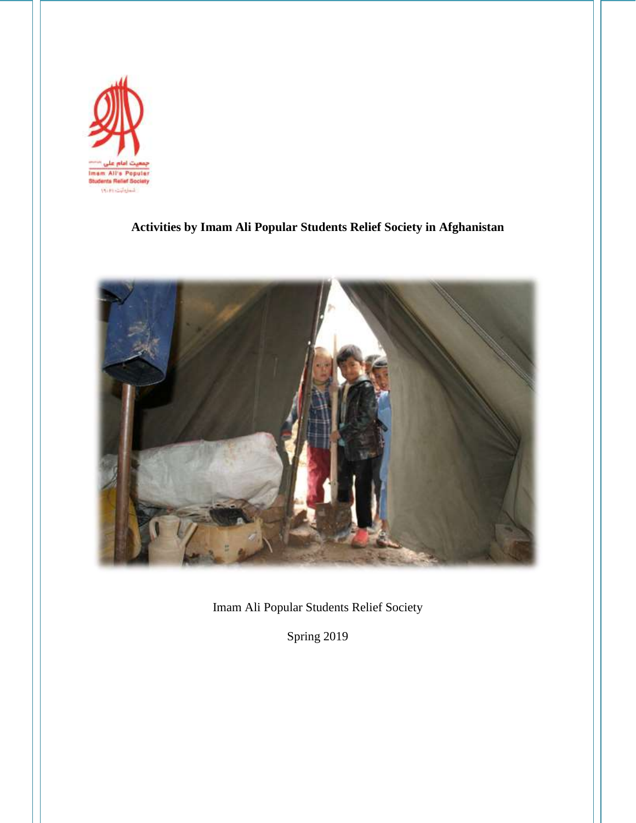

# **Activities by Imam Ali Popular Students Relief Society in Afghanistan**



Imam Ali Popular Students Relief Society

Spring 2019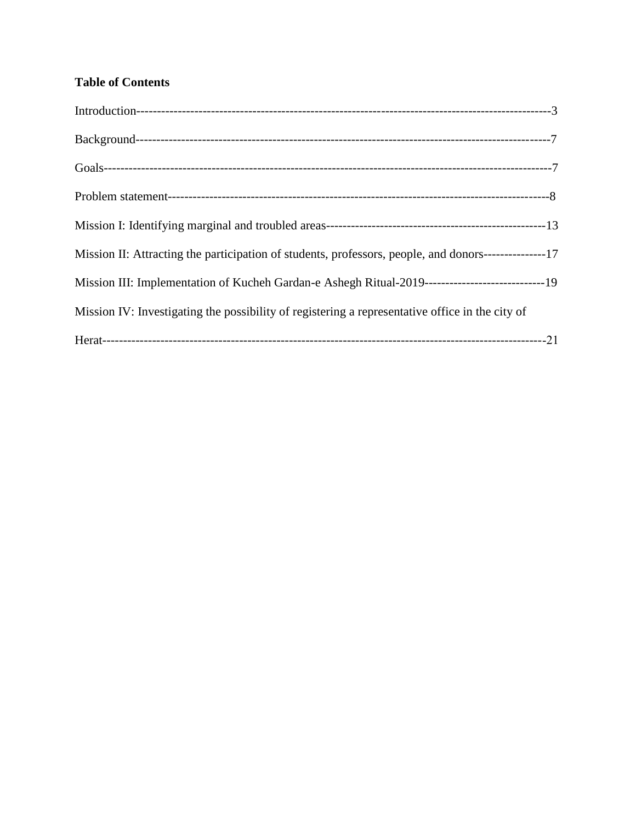# **Table of Contents**

| Mission II: Attracting the participation of students, professors, people, and donors---------------17 |  |
|-------------------------------------------------------------------------------------------------------|--|
|                                                                                                       |  |
| Mission IV: Investigating the possibility of registering a representative office in the city of       |  |
|                                                                                                       |  |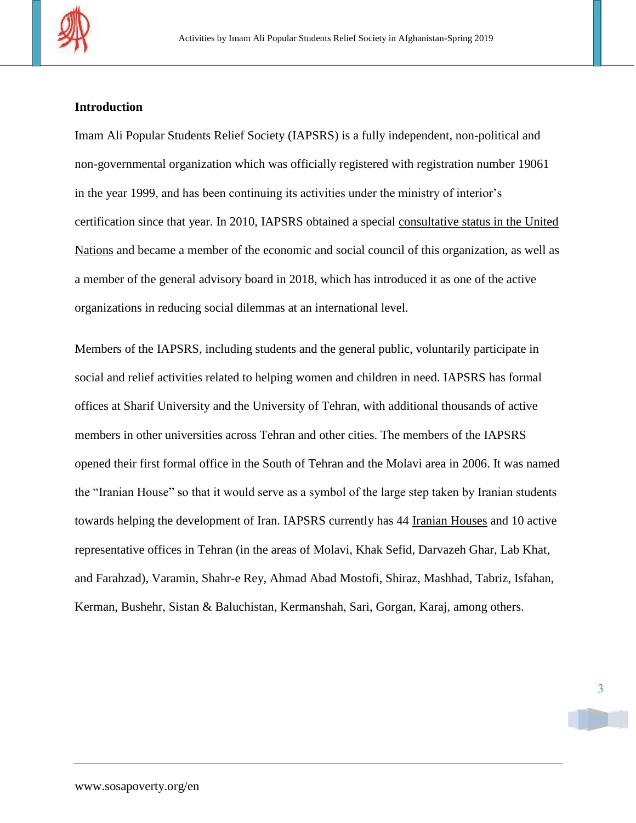

#### **Introduction**

Imam Ali Popular Students Relief Society (IAPSRS) is a fully independent, non-political and non-governmental organization which was officially registered with registration number 19061 in the year 1999, and has been continuing its activities under the ministry of interior's certification since that year. In 2010, IAPSRS obtained a special [consultative status in the United](https://esango.un.org/civilsociety/login.do)  [Nations](https://esango.un.org/civilsociety/login.do) and became a member of the economic and social council of this organization, as well as a member of the general advisory board in 2018, which has introduced it as one of the active organizations in reducing social dilemmas at an international level.

Members of the IAPSRS, including students and the general public, voluntarily participate in social and relief activities related to helping women and children in need. IAPSRS has formal offices at Sharif University and the University of Tehran, with additional thousands of active members in other universities across Tehran and other cities. The members of the IAPSRS opened their first formal office in the South of Tehran and the Molavi area in 2006. It was named the "Iranian House" so that it would serve as a symbol of the large step taken by Iranian students towards helping the development of Iran. IAPSRS currently has 44 [Iranian Houses](https://sosapoverty.org/en/iranian-homes/) and 10 active representative offices in Tehran (in the areas of Molavi, Khak Sefid, Darvazeh Ghar, Lab Khat, and Farahzad), Varamin, Shahr-e Rey, Ahmad Abad Mostofi, Shiraz, Mashhad, Tabriz, Isfahan, Kerman, Bushehr, Sistan & Baluchistan, Kermanshah, Sari, Gorgan, Karaj, among others.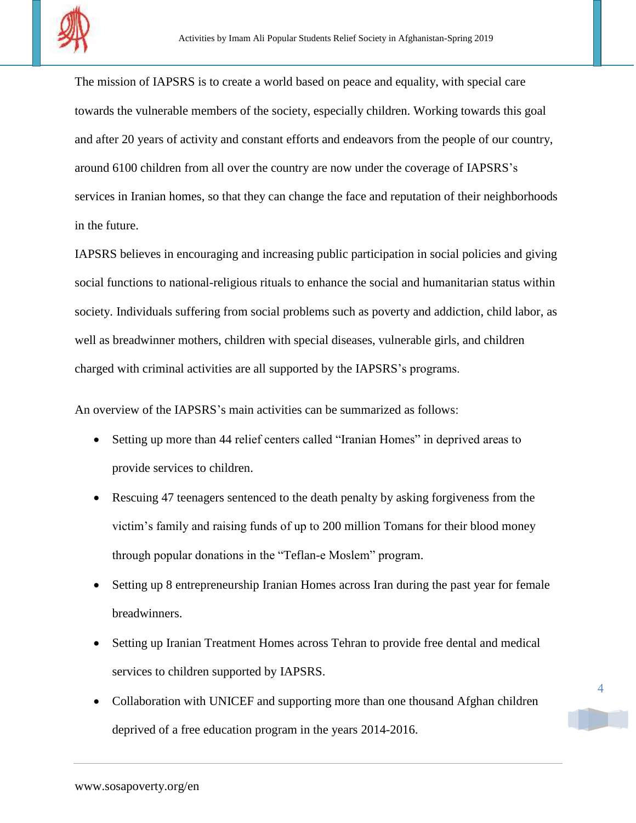The mission of IAPSRS is to create a world based on peace and equality, with special care towards the vulnerable members of the society, especially children. Working towards this goal and after 20 years of activity and constant efforts and endeavors from the people of our country, around 6100 children from all over the country are now under the coverage of IAPSRS's services in Iranian homes, so that they can change the face and reputation of their neighborhoods in the future.

IAPSRS believes in encouraging and increasing public participation in social policies and giving social functions to national-religious rituals to enhance the social and humanitarian status within society. Individuals suffering from social problems such as poverty and addiction, child labor, as well as breadwinner mothers, children with special diseases, vulnerable girls, and children charged with criminal activities are all supported by the IAPSRS's programs.

An overview of the IAPSRS's main activities can be summarized as follows:

- Setting up more than 44 relief centers called "Iranian Homes" in deprived areas to provide services to children.
- Rescuing 47 teenagers sentenced to the death penalty by asking forgiveness from the victim's family and raising funds of up to 200 million Tomans for their blood money through popular donations in the "Teflan-e Moslem" program.
- Setting up 8 entrepreneurship Iranian Homes across Iran during the past year for female breadwinners.
- Setting up Iranian Treatment Homes across Tehran to provide free dental and medical services to children supported by IAPSRS.
- Collaboration with UNICEF and supporting more than one thousand Afghan children deprived of a free education program in the years 2014-2016.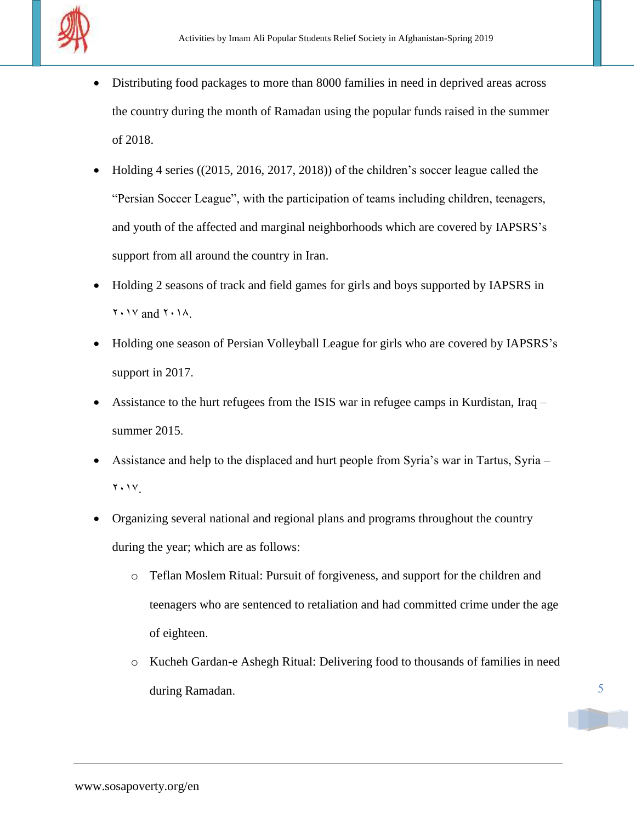

- Distributing food packages to more than 8000 families in need in deprived areas across the country during the month of Ramadan using the popular funds raised in the summer of 2018.
- Holding 4 series ((2015, 2016, 2017, 2018)) of the children's soccer league called the "Persian Soccer League", with the participation of teams including children, teenagers, and youth of the affected and marginal neighborhoods which are covered by IAPSRS's support from all around the country in Iran.
- Holding 2 seasons of track and field games for girls and boys supported by IAPSRS in  $Y \cdot Y$  and  $Y \cdot Y$ .
- Holding one season of Persian Volleyball League for girls who are covered by IAPSRS's support in 2017.
- Assistance to the hurt refugees from the ISIS war in refugee camps in Kurdistan, Iraq summer 2015.
- Assistance and help to the displaced and hurt people from Syria's war in Tartus, Syria  $Y \cdot Y$ .
- Organizing several national and regional plans and programs throughout the country during the year; which are as follows:
	- o Teflan Moslem Ritual: Pursuit of forgiveness, and support for the children and teenagers who are sentenced to retaliation and had committed crime under the age of eighteen.
	- o Kucheh Gardan-e Ashegh Ritual: Delivering food to thousands of families in need during Ramadan.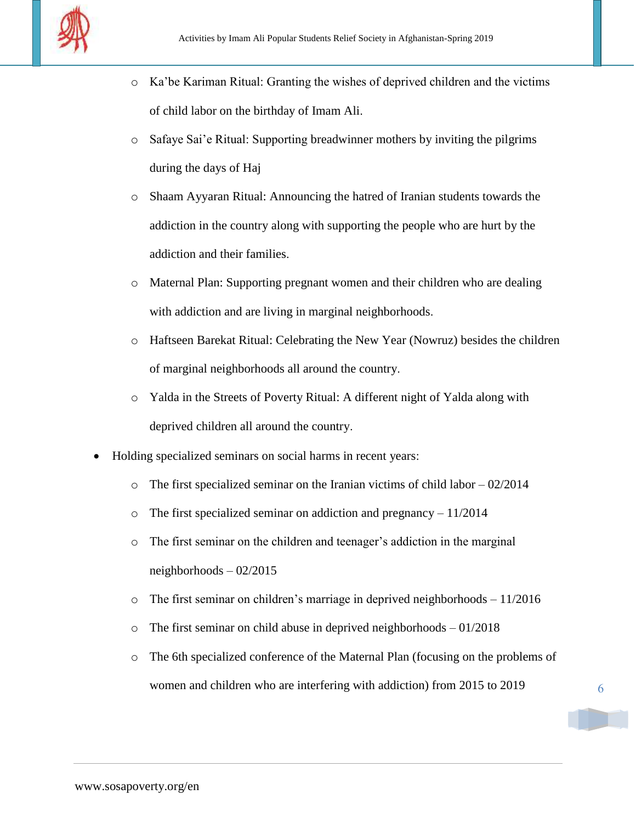- o Ka'be Kariman Ritual: Granting the wishes of deprived children and the victims of child labor on the birthday of Imam Ali.
- o Safaye Sai'e Ritual: Supporting breadwinner mothers by inviting the pilgrims during the days of Haj
- o Shaam Ayyaran Ritual: Announcing the hatred of Iranian students towards the addiction in the country along with supporting the people who are hurt by the addiction and their families.
- o Maternal Plan: Supporting pregnant women and their children who are dealing with addiction and are living in marginal neighborhoods.
- o Haftseen Barekat Ritual: Celebrating the New Year (Nowruz) besides the children of marginal neighborhoods all around the country.
- o Yalda in the Streets of Poverty Ritual: A different night of Yalda along with deprived children all around the country.
- Holding specialized seminars on social harms in recent years:
	- $\circ$  The first specialized seminar on the Iranian victims of child labor 02/2014
	- $\circ$  The first specialized seminar on addiction and pregnancy 11/2014
	- o The first seminar on the children and teenager's addiction in the marginal neighborhoods – 02/2015
	- o The first seminar on children's marriage in deprived neighborhoods 11/2016
	- $\circ$  The first seminar on child abuse in deprived neighborhoods 01/2018
	- o The 6th specialized conference of the Maternal Plan (focusing on the problems of women and children who are interfering with addiction) from 2015 to 2019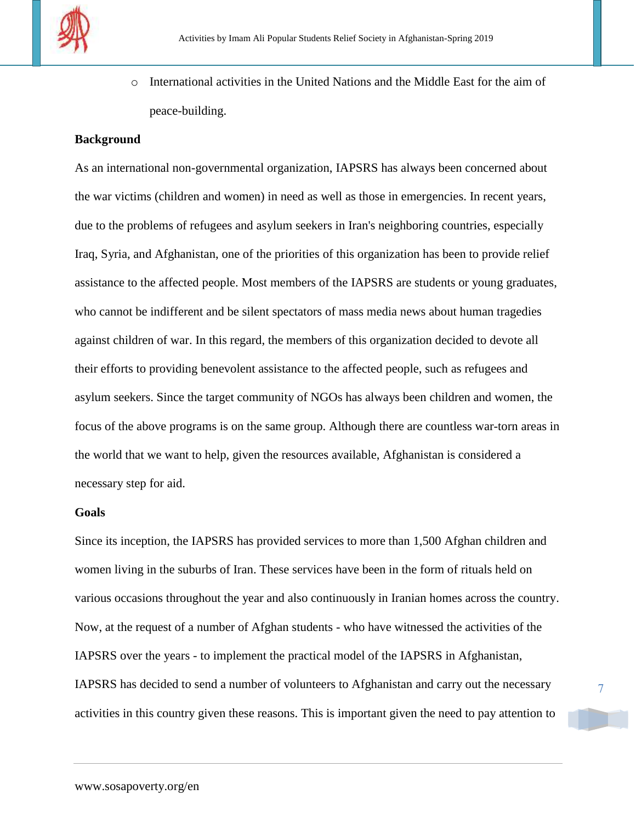

 $\circ$  International activities in the United Nations and the Middle East for the aim of peace-building.

#### **Background**

As an international non-governmental organization, IAPSRS has always been concerned about the war victims (children and women) in need as well as those in emergencies. In recent years, due to the problems of refugees and asylum seekers in Iran's neighboring countries, especially Iraq, Syria, and Afghanistan, one of the priorities of this organization has been to provide relief assistance to the affected people. Most members of the IAPSRS are students or young graduates, who cannot be indifferent and be silent spectators of mass media news about human tragedies against children of war. In this regard, the members of this organization decided to devote all their efforts to providing benevolent assistance to the affected people, such as refugees and asylum seekers. Since the target community of NGOs has always been children and women, the focus of the above programs is on the same group. Although there are countless war-torn areas in the world that we want to help, given the resources available, Afghanistan is considered a necessary step for aid.

#### **Goals**

Since its inception, the IAPSRS has provided services to more than 1,500 Afghan children and women living in the suburbs of Iran. These services have been in the form of rituals held on various occasions throughout the year and also continuously in Iranian homes across the country. Now, at the request of a number of Afghan students - who have witnessed the activities of the IAPSRS over the years - to implement the practical model of the IAPSRS in Afghanistan, IAPSRS has decided to send a number of volunteers to Afghanistan and carry out the necessary activities in this country given these reasons. This is important given the need to pay attention to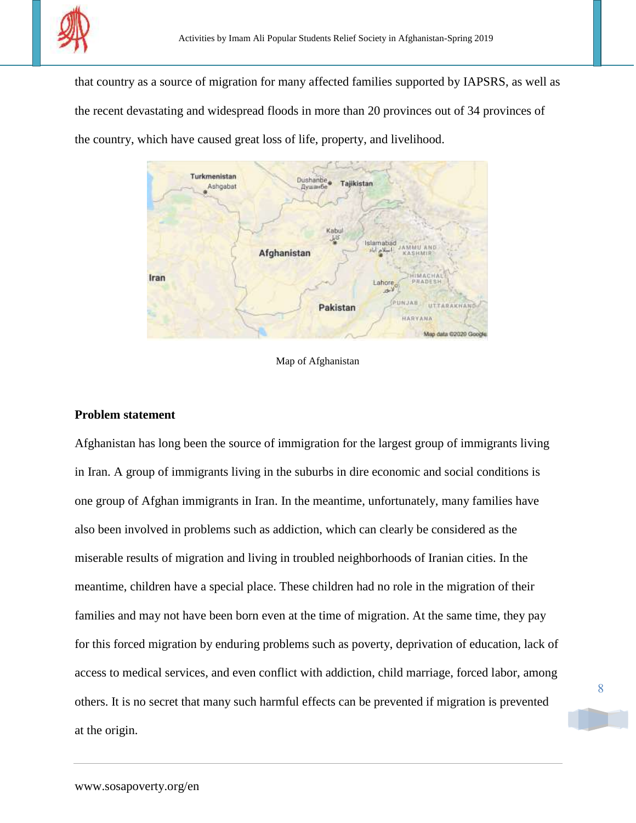

that country as a source of migration for many affected families supported by IAPSRS, as well as the recent devastating and widespread floods in more than 20 provinces out of 34 provinces of the country, which have caused great loss of life, property, and livelihood.



Map of Afghanistan

#### **Problem statement**

Afghanistan has long been the source of immigration for the largest group of immigrants living in Iran. A group of immigrants living in the suburbs in dire economic and social conditions is one group of Afghan immigrants in Iran. In the meantime, unfortunately, many families have also been involved in problems such as addiction, which can clearly be considered as the miserable results of migration and living in troubled neighborhoods of Iranian cities. In the meantime, children have a special place. These children had no role in the migration of their families and may not have been born even at the time of migration. At the same time, they pay for this forced migration by enduring problems such as poverty, deprivation of education, lack of access to medical services, and even conflict with addiction, child marriage, forced labor, among others. It is no secret that many such harmful effects can be prevented if migration is prevented at the origin.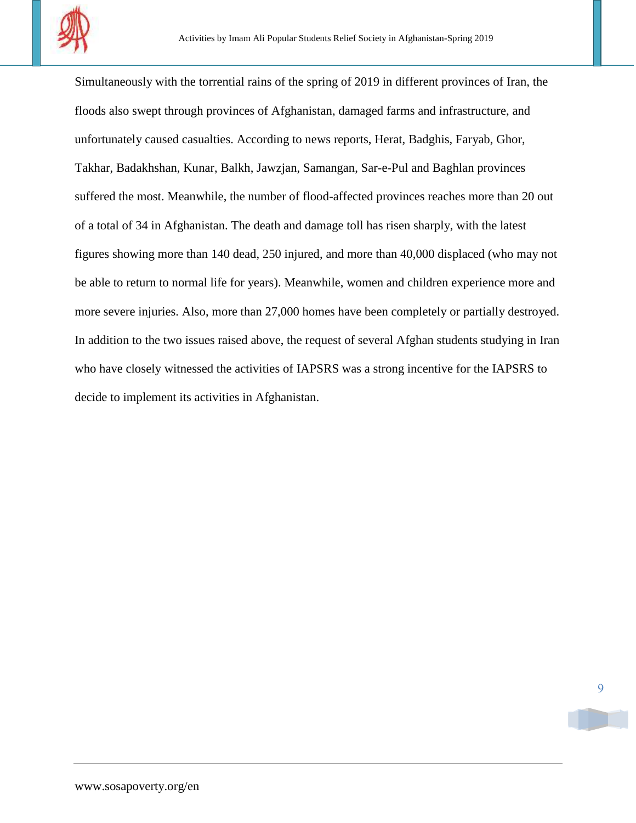

Simultaneously with the torrential rains of the spring of 2019 in different provinces of Iran, the floods also swept through provinces of Afghanistan, damaged farms and infrastructure, and unfortunately caused casualties. According to news reports, Herat, Badghis, Faryab, Ghor, Takhar, Badakhshan, Kunar, Balkh, Jawzjan, Samangan, Sar-e-Pul and Baghlan provinces suffered the most. Meanwhile, the number of flood-affected provinces reaches more than 20 out of a total of 34 in Afghanistan. The death and damage toll has risen sharply, with the latest figures showing more than 140 dead, 250 injured, and more than 40,000 displaced (who may not be able to return to normal life for years). Meanwhile, women and children experience more and more severe injuries. Also, more than 27,000 homes have been completely or partially destroyed. In addition to the two issues raised above, the request of several Afghan students studying in Iran who have closely witnessed the activities of IAPSRS was a strong incentive for the IAPSRS to decide to implement its activities in Afghanistan.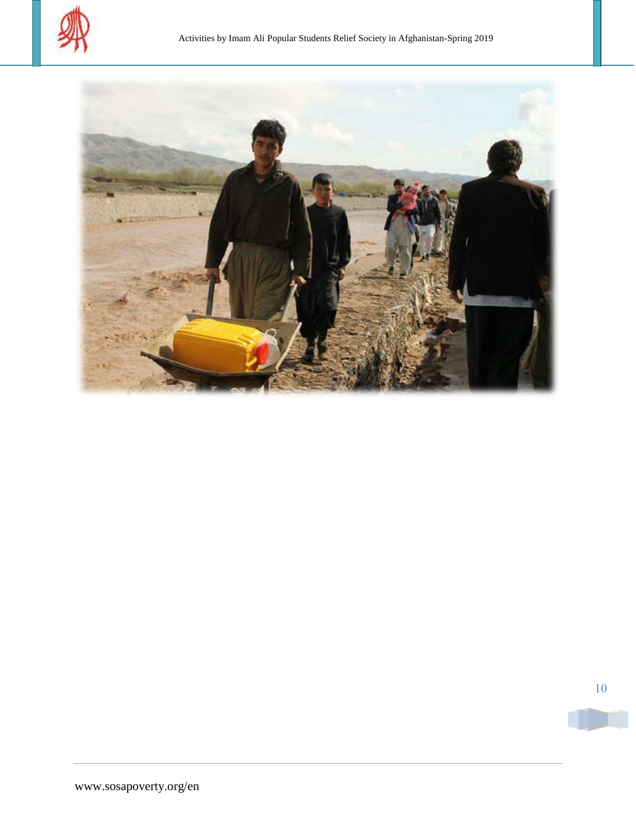

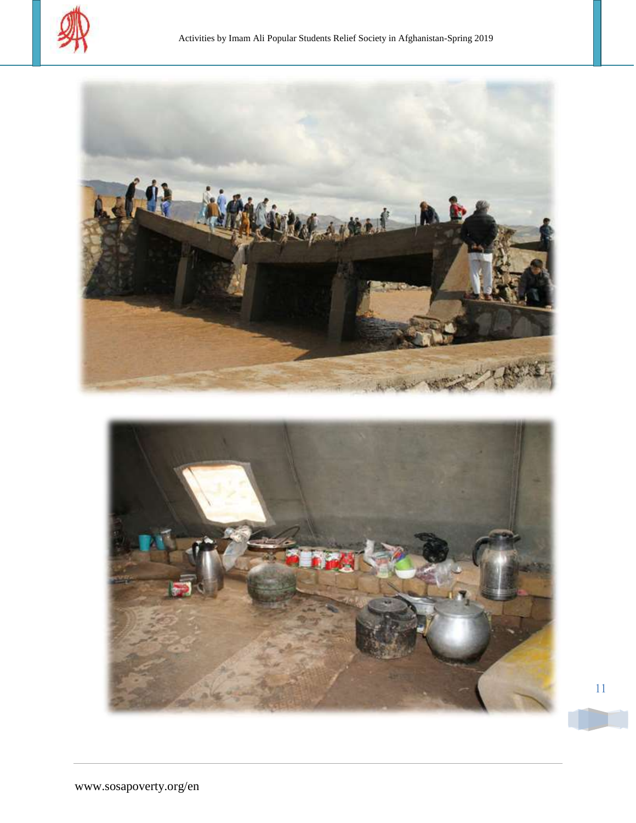

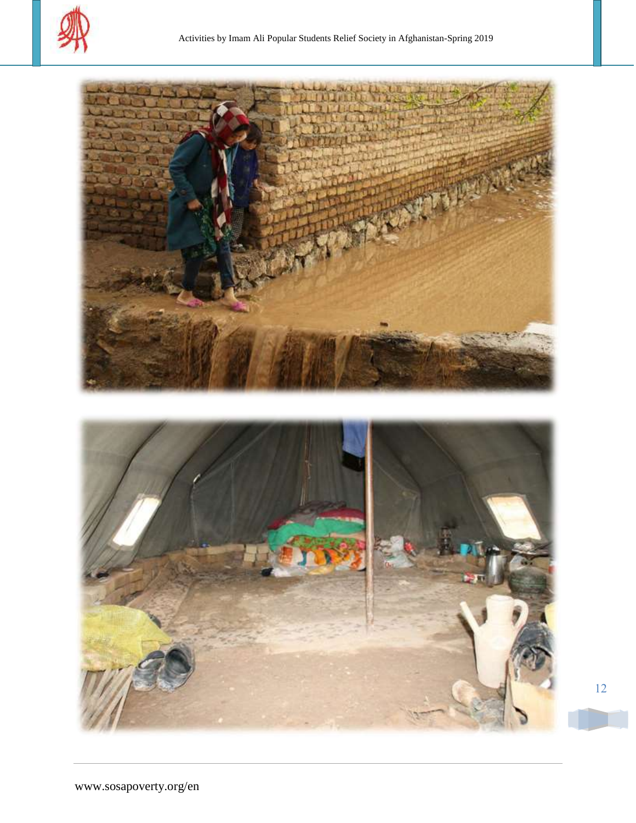

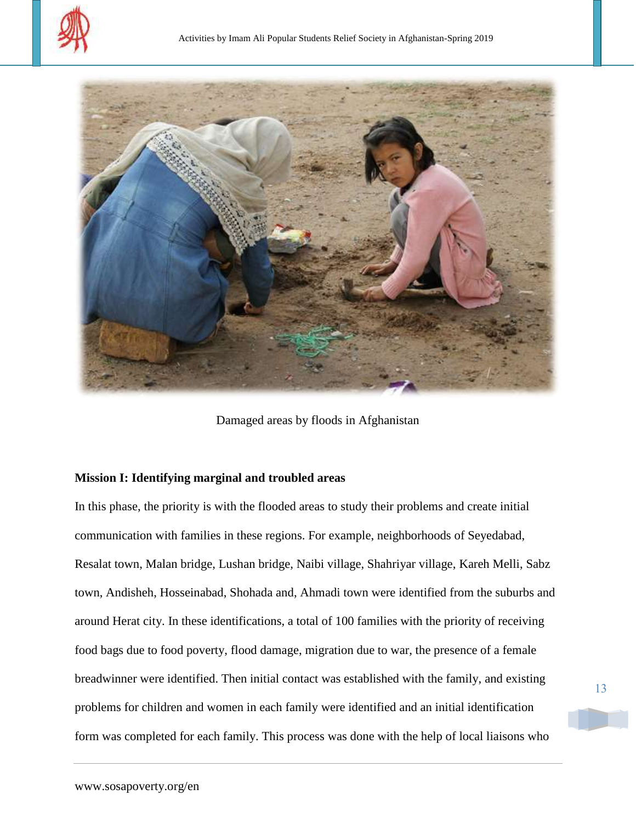



Damaged areas by floods in Afghanistan

#### **Mission I: Identifying marginal and troubled areas**

In this phase, the priority is with the flooded areas to study their problems and create initial communication with families in these regions. For example, neighborhoods of Seyedabad, Resalat town, Malan bridge, Lushan bridge, Naibi village, Shahriyar village, Kareh Melli, Sabz town, Andisheh, Hosseinabad, Shohada and, Ahmadi town were identified from the suburbs and around Herat city. In these identifications, a total of 100 families with the priority of receiving food bags due to food poverty, flood damage, migration due to war, the presence of a female breadwinner were identified. Then initial contact was established with the family, and existing problems for children and women in each family were identified and an initial identification form was completed for each family. This process was done with the help of local liaisons who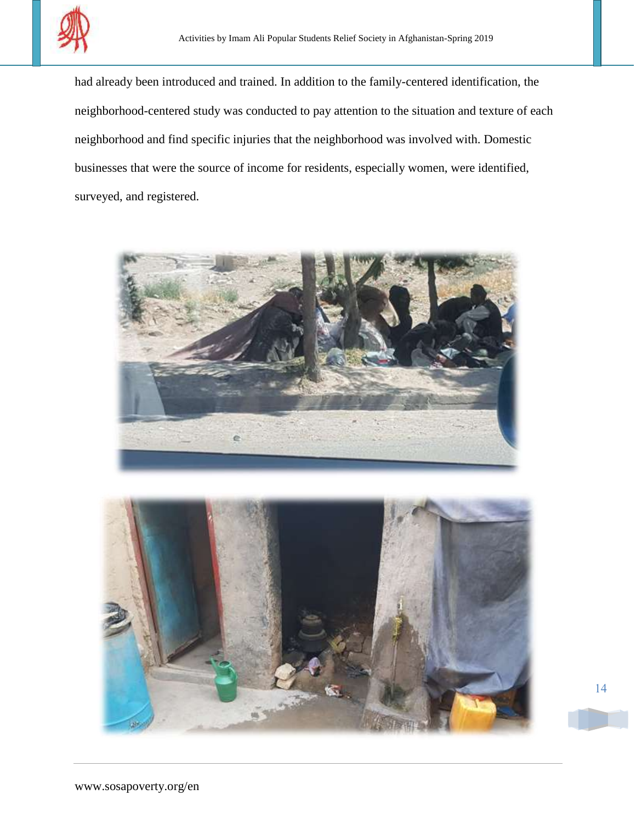

had already been introduced and trained. In addition to the family-centered identification, the neighborhood-centered study was conducted to pay attention to the situation and texture of each neighborhood and find specific injuries that the neighborhood was involved with. Domestic businesses that were the source of income for residents, especially women, were identified, surveyed, and registered.



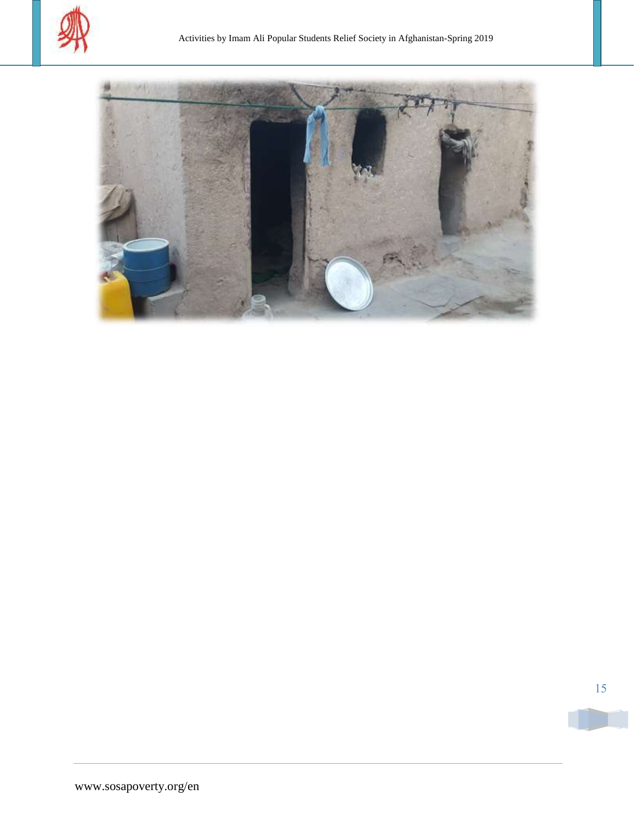

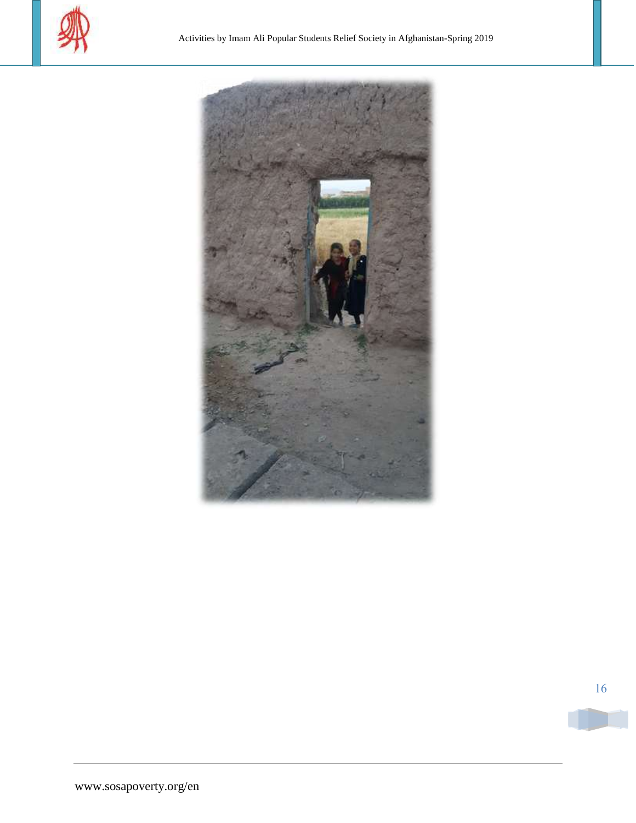

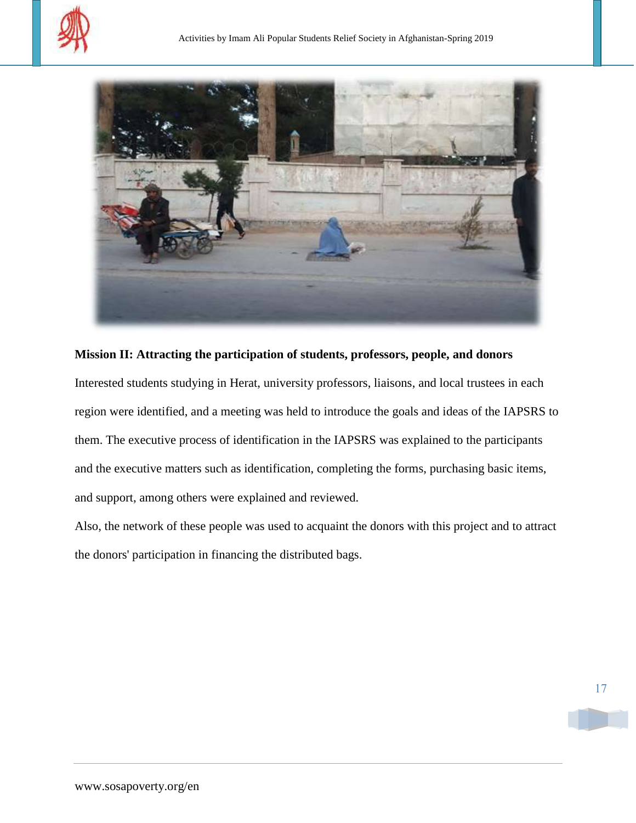

# **Mission II: Attracting the participation of students, professors, people, and donors**

Interested students studying in Herat, university professors, liaisons, and local trustees in each region were identified, and a meeting was held to introduce the goals and ideas of the IAPSRS to them. The executive process of identification in the IAPSRS was explained to the participants and the executive matters such as identification, completing the forms, purchasing basic items, and support, among others were explained and reviewed.

Also, the network of these people was used to acquaint the donors with this project and to attract the donors' participation in financing the distributed bags.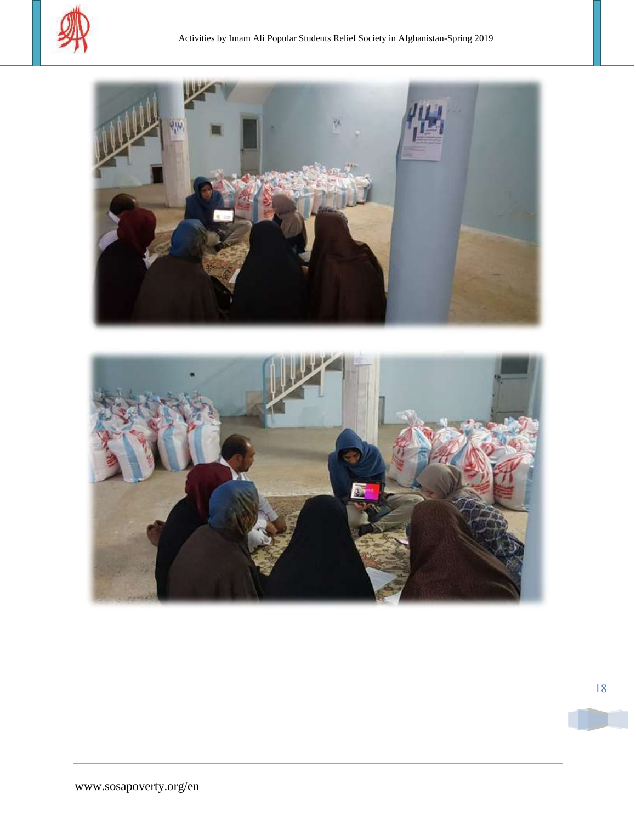



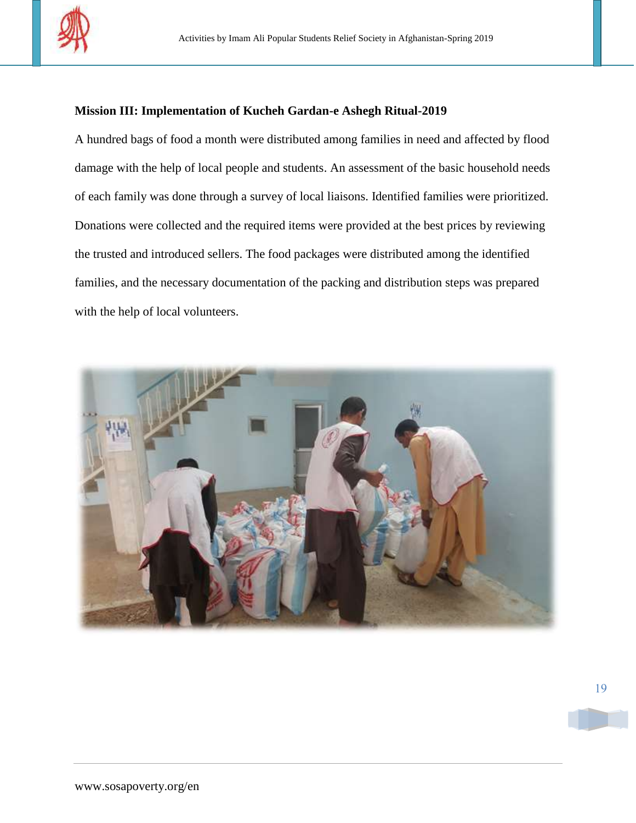

## **Mission III: Implementation of Kucheh Gardan-e Ashegh Ritual-2019**

A hundred bags of food a month were distributed among families in need and affected by flood damage with the help of local people and students. An assessment of the basic household needs of each family was done through a survey of local liaisons. Identified families were prioritized. Donations were collected and the required items were provided at the best prices by reviewing the trusted and introduced sellers. The food packages were distributed among the identified families, and the necessary documentation of the packing and distribution steps was prepared with the help of local volunteers.

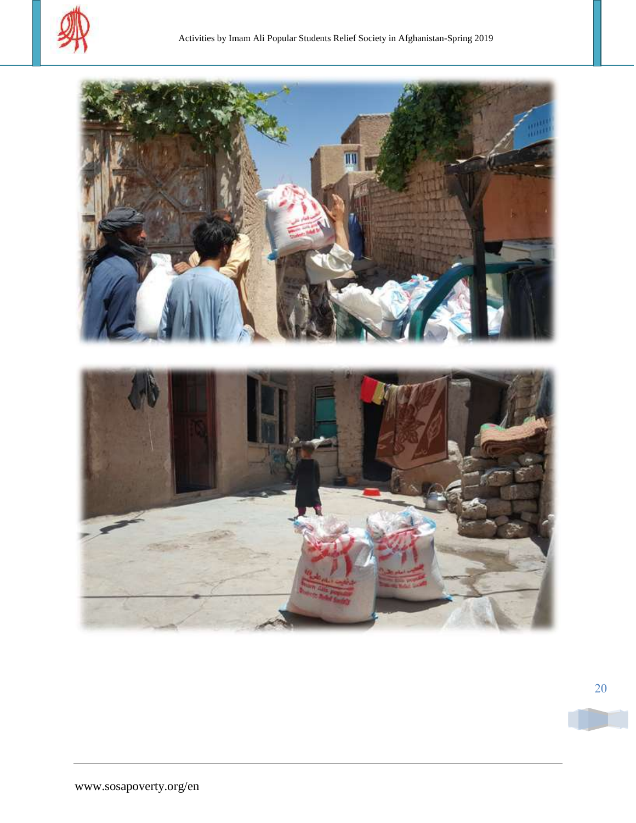

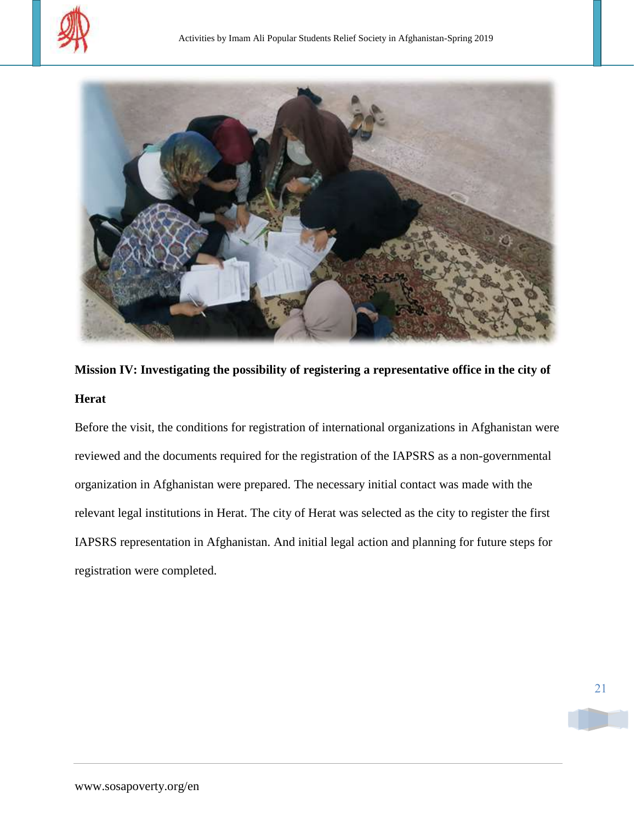



# **Mission IV: Investigating the possibility of registering a representative office in the city of Herat**

Before the visit, the conditions for registration of international organizations in Afghanistan were reviewed and the documents required for the registration of the IAPSRS as a non-governmental organization in Afghanistan were prepared. The necessary initial contact was made with the relevant legal institutions in Herat. The city of Herat was selected as the city to register the first IAPSRS representation in Afghanistan. And initial legal action and planning for future steps for registration were completed.